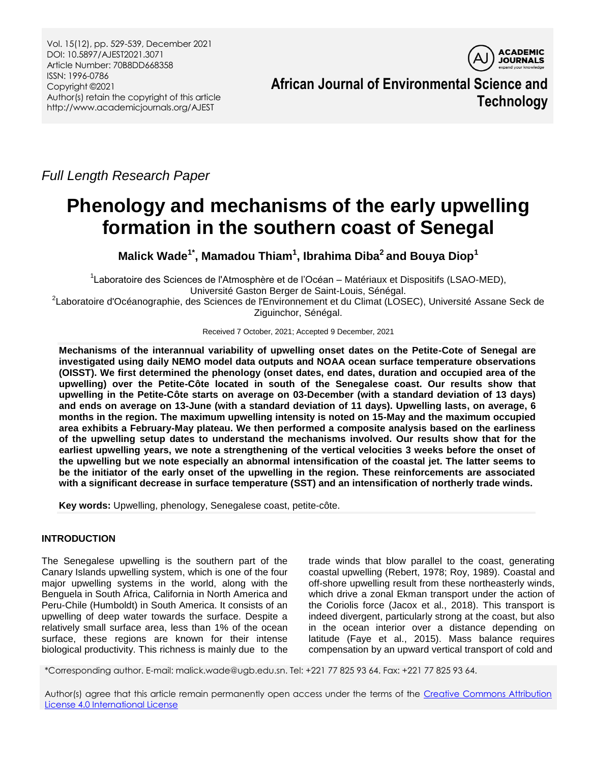

**African Journal of Environmental Science and Technology**

*Full Length Research Paper*

# **Phenology and mechanisms of the early upwelling formation in the southern coast of Senegal**

**Malick Wade1\*, Mamadou Thiam<sup>1</sup> , Ibrahima Diba<sup>2</sup> and Bouya Diop<sup>1</sup>**

<sup>1</sup>Laboratoire des Sciences de l'Atmosphère et de l'Océan – Matériaux et Dispositifs (LSAO-MED), Université Gaston Berger de Saint-Louis, Sénégal.

<sup>2</sup>Laboratoire d'Océanographie, des Sciences de l'Environnement et du Climat (LOSEC), Université Assane Seck de Ziguinchor, Sénégal.

Received 7 October, 2021; Accepted 9 December, 2021

**Mechanisms of the interannual variability of upwelling onset dates on the Petite-Cote of Senegal are investigated using daily NEMO model data outputs and NOAA ocean surface temperature observations (OISST). We first determined the phenology (onset dates, end dates, duration and occupied area of the upwelling) over the Petite-Côte located in south of the Senegalese coast. Our results show that upwelling in the Petite-Côte starts on average on 03-December (with a standard deviation of 13 days) and ends on average on 13-June (with a standard deviation of 11 days). Upwelling lasts, on average, 6 months in the region. The maximum upwelling intensity is noted on 15-May and the maximum occupied area exhibits a February-May plateau. We then performed a composite analysis based on the earliness of the upwelling setup dates to understand the mechanisms involved. Our results show that for the earliest upwelling years, we note a strengthening of the vertical velocities 3 weeks before the onset of the upwelling but we note especially an abnormal intensification of the coastal jet. The latter seems to be the initiator of the early onset of the upwelling in the region. These reinforcements are associated with a significant decrease in surface temperature (SST) and an intensification of northerly trade winds.** 

**Key words:** Upwelling, phenology, Senegalese coast, petite-côte.

## **INTRODUCTION**

The Senegalese upwelling is the southern part of the Canary Islands upwelling system, which is one of the four major upwelling systems in the world, along with the Benguela in South Africa, California in North America and Peru-Chile (Humboldt) in South America. It consists of an upwelling of deep water towards the surface. Despite a relatively small surface area, less than 1% of the ocean surface, these regions are known for their intense biological productivity. This richness is mainly due to the

trade winds that blow parallel to the coast, generating coastal upwelling (Rebert, 1978; Roy, 1989). Coastal and off-shore upwelling result from these northeasterly winds, which drive a zonal Ekman transport under the action of the Coriolis force (Jacox et al., 2018). This transport is indeed divergent, particularly strong at the coast, but also in the ocean interior over a distance depending on latitude (Faye et al., 2015). Mass balance requires compensation by an upward vertical transport of cold and

\*Corresponding author. E-mail: malick.wade@ugb.edu.sn. Tel: +221 77 825 93 64. Fax: +221 77 825 93 64.

Author(s) agree that this article remain permanently open access under the terms of the Creative Commons Attribution [License 4.0 International License](http://creativecommons.org/licenses/by/4.0/deed.en_US)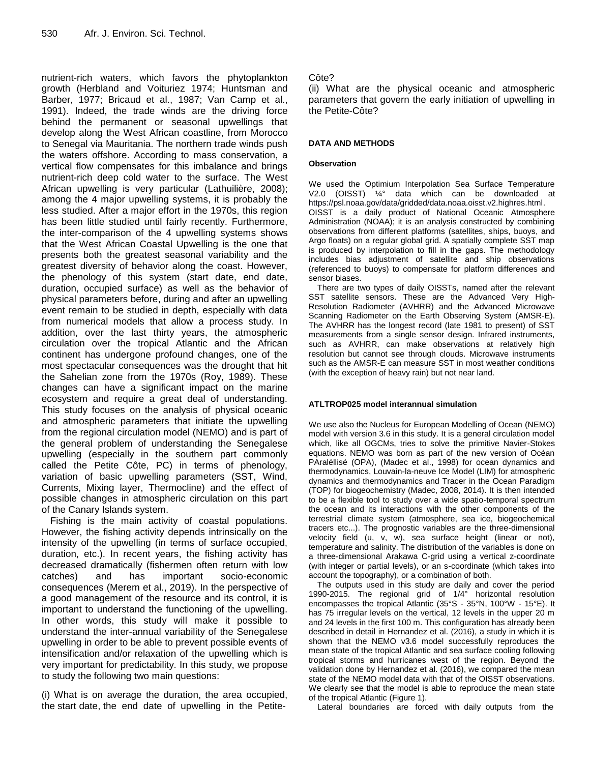nutrient-rich waters, which favors the phytoplankton growth (Herbland and Voituriez 1974; Huntsman and Barber, 1977; Bricaud et al., 1987; Van Camp et al., 1991). Indeed, the trade winds are the driving force behind the permanent or seasonal upwellings that develop along the West African coastline, from Morocco to Senegal via Mauritania. The northern trade winds push the waters offshore. According to mass conservation, a vertical flow compensates for this imbalance and brings nutrient-rich deep cold water to the surface. The West African upwelling is very particular (Lathuilière, 2008); among the 4 major upwelling systems, it is probably the less studied. After a major effort in the 1970s, this region has been little studied until fairly recently. Furthermore, the inter-comparison of the 4 upwelling systems shows that the West African Coastal Upwelling is the one that presents both the greatest seasonal variability and the greatest diversity of behavior along the coast. However, the phenology of this system (start date, end date, duration, occupied surface) as well as the behavior of physical parameters before, during and after an upwelling event remain to be studied in depth, especially with data from numerical models that allow a process study. In addition, over the last thirty years, the atmospheric circulation over the tropical Atlantic and the African continent has undergone profound changes, one of the most spectacular consequences was the drought that hit the Sahelian zone from the 1970s (Roy, 1989). These changes can have a significant impact on the marine ecosystem and require a great deal of understanding. This study focuses on the analysis of physical oceanic and atmospheric parameters that initiate the upwelling from the regional circulation model (NEMO) and is part of the general problem of understanding the Senegalese upwelling (especially in the southern part commonly called the Petite Côte, PC) in terms of phenology, variation of basic upwelling parameters (SST, Wind, Currents, Mixing layer, Thermocline) and the effect of possible changes in atmospheric circulation on this part of the Canary Islands system.

Fishing is the main activity of coastal populations. However, the fishing activity depends intrinsically on the intensity of the upwelling (in terms of surface occupied, duration, etc.). In recent years, the fishing activity has decreased dramatically (fishermen often return with low catches) and has important socio-economic consequences (Merem et al., 2019). In the perspective of a good management of the resource and its control, it is important to understand the functioning of the upwelling. In other words, this study will make it possible to understand the inter-annual variability of the Senegalese upwelling in order to be able to prevent possible events of intensification and/or relaxation of the upwelling which is very important for predictability. In this study, we propose to study the following two main questions:

(i) What is on average the duration, the area occupied, the start date, the end date of upwelling in the Petite-

## Côte?

(ii) What are the physical oceanic and atmospheric parameters that govern the early initiation of upwelling in the Petite-Côte?

## **DATA AND METHODS**

#### **Observation**

We used the Optimium Interpolation Sea Surface Temperature V2.0 (OISST) ¼° data which can be downloaded at https://psl.noaa.gov/data/gridded/data.noaa.oisst.v2.highres.html. OISST is a daily product of National Oceanic Atmosphere Administration (NOAA); it is an analysis constructed by combining observations from different platforms (satellites, ships, buoys, and Argo floats) on a regular global grid. A spatially complete SST map is produced by interpolation to fill in the gaps. The methodology includes bias adjustment of satellite and ship observations (referenced to buoys) to compensate for platform differences and sensor biases.

There are two types of daily OISSTs, named after the relevant SST satellite sensors. These are the Advanced Very High-Resolution Radiometer (AVHRR) and the Advanced Microwave Scanning Radiometer on the Earth Observing System (AMSR-E). The AVHRR has the longest record (late 1981 to present) of SST measurements from a single sensor design. Infrared instruments, such as AVHRR, can make observations at relatively high resolution but cannot see through clouds. Microwave instruments such as the AMSR-E can measure SST in most weather conditions (with the exception of heavy rain) but not near land.

#### **ATLTROP025 model interannual simulation**

We use also the Nucleus for European Modelling of Ocean (NEMO) model with version 3.6 in this study. It is a general circulation model which, like all OGCMs, tries to solve the primitive Navier-Stokes equations. NEMO was born as part of the new version of Océan PAraléllisé (OPA), (Madec et al., 1998) for ocean dynamics and thermodynamics, Louvain-la-neuve Ice Model (LIM) for atmospheric dynamics and thermodynamics and Tracer in the Ocean Paradigm (TOP) for biogeochemistry (Madec, 2008, 2014). It is then intended to be a flexible tool to study over a wide spatio-temporal spectrum the ocean and its interactions with the other components of the terrestrial climate system (atmosphere, sea ice, biogeochemical tracers etc...). The prognostic variables are the three-dimensional velocity field (u, v, w), sea surface height (linear or not), temperature and salinity. The distribution of the variables is done on a three-dimensional Arakawa C-grid using a vertical z-coordinate (with integer or partial levels), or an s-coordinate (which takes into account the topography), or a combination of both.

The outputs used in this study are daily and cover the period 1990-2015. The regional grid of 1/4° horizontal resolution encompasses the tropical Atlantic (35°S - 35°N, 100°W - 15°E). It has 75 irregular levels on the vertical, 12 levels in the upper 20 m and 24 levels in the first 100 m. This configuration has already been described in detail in Hernandez et al. (2016), a study in which it is shown that the NEMO v3.6 model successfully reproduces the mean state of the tropical Atlantic and sea surface cooling following tropical storms and hurricanes west of the region. Beyond the validation done by Hernandez et al. (2016), we compared the mean state of the NEMO model data with that of the OISST observations. We clearly see that the model is able to reproduce the mean state of the tropical Atlantic (Figure 1).

Lateral boundaries are forced with daily outputs from the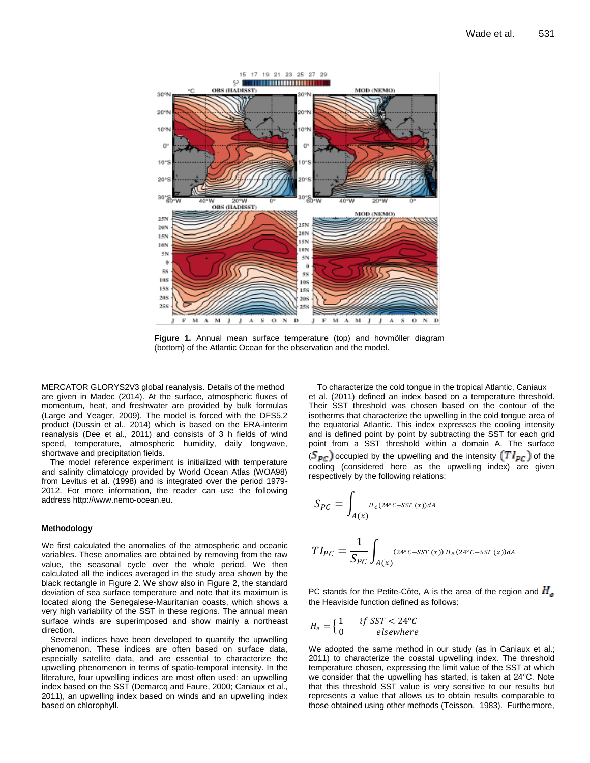

**Figure 1.** Annual mean surface temperature (top) and hovmöller diagram (bottom) of the Atlantic Ocean for the observation and the model.

MERCATOR GLORYS2V3 global reanalysis. Details of the method are given in Madec (2014). At the surface, atmospheric fluxes of momentum, heat, and freshwater are provided by bulk formulas (Large and Yeager, 2009). The model is forced with the DFS5.2 product (Dussin et al., 2014) which is based on the ERA-interim reanalysis (Dee et al., 2011) and consists of 3 h fields of wind speed, temperature, atmospheric humidity, daily longwave, shortwave and precipitation fields.

The model reference experiment is initialized with temperature and salinity climatology provided by World Ocean Atlas (WOA98) from Levitus et al. (1998) and is integrated over the period 1979- 2012. For more information, the reader can use the following address http://www.nemo-ocean.eu.

#### **Methodology**

We first calculated the anomalies of the atmospheric and oceanic variables. These anomalies are obtained by removing from the raw value, the seasonal cycle over the whole period. We then calculated all the indices averaged in the study area shown by the black rectangle in Figure 2. We show also in Figure 2, the standard deviation of sea surface temperature and note that its maximum is located along the Senegalese-Mauritanian coasts, which shows a very high variability of the SST in these regions. The annual mean surface winds are superimposed and show mainly a northeast direction.

Several indices have been developed to quantify the upwelling phenomenon. These indices are often based on surface data, especially satellite data, and are essential to characterize the upwelling phenomenon in terms of spatio-temporal intensity. In the literature, four upwelling indices are most often used: an upwelling index based on the SST (Demarcq and Faure, 2000; Caniaux et al., 2011), an upwelling index based on winds and an upwelling index based on chlorophyll.

To characterize the cold tongue in the tropical Atlantic, Caniaux et al. (2011) defined an index based on a temperature threshold. Their SST threshold was chosen based on the contour of the isotherms that characterize the upwelling in the cold tongue area of the equatorial Atlantic. This index expresses the cooling intensity and is defined point by point by subtracting the SST for each grid point from a SST threshold within a domain A. The surface  $(S_{\text{p}_c})$  occupied by the upwelling and the intensity  $(TI_{\text{p}_c})$  of the cooling (considered here as the upwelling index) are given respectively by the following relations:

$$
S_{PC} = \int_{A(x)} H_e(24^\circ C - SST(x))dA
$$
  

$$
TI_{PC} = \frac{1}{S_{PC}} \int_{A(x)} (24^\circ C - SST(x)) H_e(24^\circ C - SST(x))dA
$$

PC stands for the Petite-Côte, A is the area of the region and  $H_{\rm R}$ the Heaviside function defined as follows:

$$
H_e = \begin{cases} 1 & \text{if } SST < 24^{\circ}C \\ 0 & \text{elsewhere} \end{cases}
$$

We adopted the same method in our study (as in Caniaux et al.: 2011) to characterize the coastal upwelling index. The threshold temperature chosen, expressing the limit value of the SST at which we consider that the upwelling has started, is taken at 24°C. Note that this threshold SST value is very sensitive to our results but represents a value that allows us to obtain results comparable to those obtained using other methods (Teisson, 1983). Furthermore,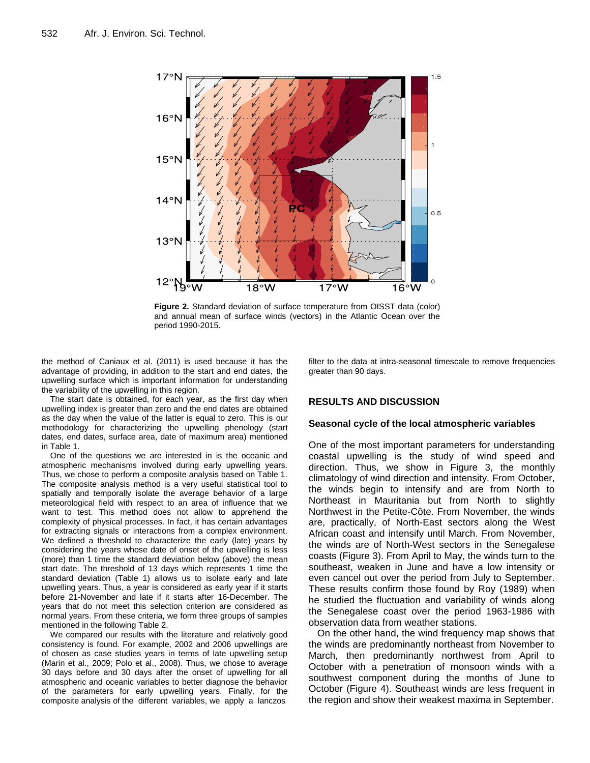

**Figure 2.** Standard deviation of surface temperature from OISST data (color) and annual mean of surface winds (vectors) in the Atlantic Ocean over the period 1990-2015.

the method of Caniaux et al. (2011) is used because it has the advantage of providing, in addition to the start and end dates, the upwelling surface which is important information for understanding the variability of the upwelling in this region.

The start date is obtained, for each year, as the first day when upwelling index is greater than zero and the end dates are obtained as the day when the value of the latter is equal to zero. This is our methodology for characterizing the upwelling phenology (start dates, end dates, surface area, date of maximum area) mentioned in Table 1.

One of the questions we are interested in is the oceanic and atmospheric mechanisms involved during early upwelling years. Thus, we chose to perform a composite analysis based on Table 1. The composite analysis method is a very useful statistical tool to spatially and temporally isolate the average behavior of a large meteorological field with respect to an area of influence that we want to test. This method does not allow to apprehend the complexity of physical processes. In fact, it has certain advantages for extracting signals or interactions from a complex environment. We defined a threshold to characterize the early (late) years by considering the years whose date of onset of the upwelling is less (more) than 1 time the standard deviation below (above) the mean start date. The threshold of 13 days which represents 1 time the standard deviation (Table 1) allows us to isolate early and late upwelling years. Thus, a year is considered as early year if it starts before 21-November and late if it starts after 16-December. The years that do not meet this selection criterion are considered as normal years. From these criteria, we form three groups of samples mentioned in the following Table 2.

We compared our results with the literature and relatively good consistency is found. For example, 2002 and 2006 upwellings are of chosen as case studies years in terms of late upwelling setup (Marin et al., 2009; Polo et al., 2008). Thus, we chose to average 30 days before and 30 days after the onset of upwelling for all atmospheric and oceanic variables to better diagnose the behavior of the parameters for early upwelling years. Finally, for the composite analysis of the different variables, we apply a lanczos

filter to the data at intra-seasonal timescale to remove frequencies greater than 90 days.

#### **RESULTS AND DISCUSSION**

#### **Seasonal cycle of the local atmospheric variables**

One of the most important parameters for understanding coastal upwelling is the study of wind speed and direction. Thus, we show in Figure 3, the monthly climatology of wind direction and intensity. From October, the winds begin to intensify and are from North to Northeast in Mauritania but from North to slightly Northwest in the Petite-Côte. From November, the winds are, practically, of North-East sectors along the West African coast and intensify until March. From November, the winds are of North-West sectors in the Senegalese coasts (Figure 3). From April to May, the winds turn to the southeast, weaken in June and have a low intensity or even cancel out over the period from July to September. These results confirm those found by Roy (1989) when he studied the fluctuation and variability of winds along the Senegalese coast over the period 1963-1986 with observation data from weather stations.

On the other hand, the wind frequency map shows that the winds are predominantly northeast from November to March, then predominantly northwest from April to October with a penetration of monsoon winds with a southwest component during the months of June to October (Figure 4). Southeast winds are less frequent in the region and show their weakest maxima in September.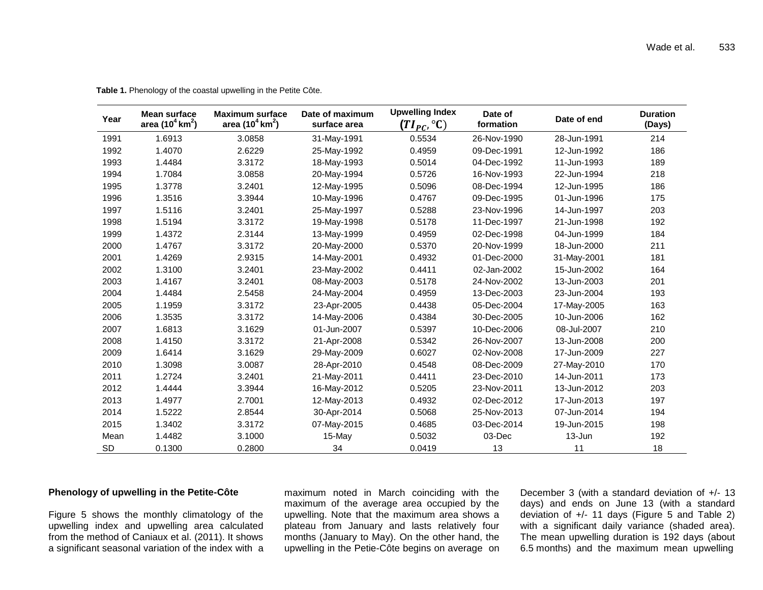| Year      | <b>Mean surface</b><br>area (10 $4 \text{ km}^2$ ) | <b>Maximum surface</b><br>area (10 <sup>4</sup> km <sup>2</sup> ) | Date of maximum<br>surface area | <b>Upwelling Index</b><br>(TI <sub>PC</sub> , $^{\circ}$ C) | Date of<br>formation | Date of end | <b>Duration</b><br>(Days) |
|-----------|----------------------------------------------------|-------------------------------------------------------------------|---------------------------------|-------------------------------------------------------------|----------------------|-------------|---------------------------|
| 1991      | 1.6913                                             | 3.0858                                                            | 31-May-1991                     | 0.5534                                                      | 26-Nov-1990          | 28-Jun-1991 | 214                       |
| 1992      | 1.4070                                             | 2.6229                                                            | 25-May-1992                     | 0.4959                                                      | 09-Dec-1991          | 12-Jun-1992 | 186                       |
| 1993      | 1.4484                                             | 3.3172                                                            | 18-May-1993                     | 0.5014                                                      | 04-Dec-1992          | 11-Jun-1993 | 189                       |
| 1994      | 1.7084                                             | 3.0858                                                            | 20-May-1994                     | 0.5726                                                      | 16-Nov-1993          | 22-Jun-1994 | 218                       |
| 1995      | 1.3778                                             | 3.2401                                                            | 12-May-1995                     | 0.5096                                                      | 08-Dec-1994          | 12-Jun-1995 | 186                       |
| 1996      | 1.3516                                             | 3.3944                                                            | 10-May-1996                     | 0.4767                                                      | 09-Dec-1995          | 01-Jun-1996 | 175                       |
| 1997      | 1.5116                                             | 3.2401                                                            | 25-May-1997                     | 0.5288                                                      | 23-Nov-1996          | 14-Jun-1997 | 203                       |
| 1998      | 1.5194                                             | 3.3172                                                            | 19-May-1998                     | 0.5178                                                      | 11-Dec-1997          | 21-Jun-1998 | 192                       |
| 1999      | 1.4372                                             | 2.3144                                                            | 13-May-1999                     | 0.4959                                                      | 02-Dec-1998          | 04-Jun-1999 | 184                       |
| 2000      | 1.4767                                             | 3.3172                                                            | 20-May-2000                     | 0.5370                                                      | 20-Nov-1999          | 18-Jun-2000 | 211                       |
| 2001      | 1.4269                                             | 2.9315                                                            | 14-May-2001                     | 0.4932                                                      | 01-Dec-2000          | 31-May-2001 | 181                       |
| 2002      | 1.3100                                             | 3.2401                                                            | 23-May-2002                     | 0.4411                                                      | 02-Jan-2002          | 15-Jun-2002 | 164                       |
| 2003      | 1.4167                                             | 3.2401                                                            | 08-May-2003                     | 0.5178                                                      | 24-Nov-2002          | 13-Jun-2003 | 201                       |
| 2004      | 1.4484                                             | 2.5458                                                            | 24-May-2004                     | 0.4959                                                      | 13-Dec-2003          | 23-Jun-2004 | 193                       |
| 2005      | 1.1959                                             | 3.3172                                                            | 23-Apr-2005                     | 0.4438                                                      | 05-Dec-2004          | 17-May-2005 | 163                       |
| 2006      | 1.3535                                             | 3.3172                                                            | 14-May-2006                     | 0.4384                                                      | 30-Dec-2005          | 10-Jun-2006 | 162                       |
| 2007      | 1.6813                                             | 3.1629                                                            | 01-Jun-2007                     | 0.5397                                                      | 10-Dec-2006          | 08-Jul-2007 | 210                       |
| 2008      | 1.4150                                             | 3.3172                                                            | 21-Apr-2008                     | 0.5342                                                      | 26-Nov-2007          | 13-Jun-2008 | 200                       |
| 2009      | 1.6414                                             | 3.1629                                                            | 29-May-2009                     | 0.6027                                                      | 02-Nov-2008          | 17-Jun-2009 | 227                       |
| 2010      | 1.3098                                             | 3.0087                                                            | 28-Apr-2010                     | 0.4548                                                      | 08-Dec-2009          | 27-May-2010 | 170                       |
| 2011      | 1.2724                                             | 3.2401                                                            | 21-May-2011                     | 0.4411                                                      | 23-Dec-2010          | 14-Jun-2011 | 173                       |
| 2012      | 1.4444                                             | 3.3944                                                            | 16-May-2012                     | 0.5205                                                      | 23-Nov-2011          | 13-Jun-2012 | 203                       |
| 2013      | 1.4977                                             | 2.7001                                                            | 12-May-2013                     | 0.4932                                                      | 02-Dec-2012          | 17-Jun-2013 | 197                       |
| 2014      | 1.5222                                             | 2.8544                                                            | 30-Apr-2014                     | 0.5068                                                      | 25-Nov-2013          | 07-Jun-2014 | 194                       |
| 2015      | 1.3402                                             | 3.3172                                                            | 07-May-2015                     | 0.4685                                                      | 03-Dec-2014          | 19-Jun-2015 | 198                       |
| Mean      | 1.4482                                             | 3.1000                                                            | 15-May                          | 0.5032                                                      | 03-Dec               | 13-Jun      | 192                       |
| <b>SD</b> | 0.1300                                             | 0.2800                                                            | 34                              | 0.0419                                                      | 13                   | 11          | 18                        |

**Table 1.** Phenology of the coastal upwelling in the Petite Côte.

## **Phenology of upwelling in the Petite-Côte**

Figure 5 shows the monthly climatology of the upwelling index and upwelling area calculated from the method of Caniaux et al. (2011). It shows a significant seasonal variation of the index with a

maximum noted in March coinciding with the maximum of the average area occupied by the upwelling. Note that the maximum area shows a plateau from January and lasts relatively four months (January to May). On the other hand, the upwelling in the Petie-Côte begins on average on

December 3 (with a standard deviation of +/- 13 days) and ends on June 13 (with a standard deviation of +/- 11 days (Figure 5 and Table 2) with a significant daily variance (shaded area). The mean upwelling duration is 192 days (about 6.5 months) and the maximum mean upwelling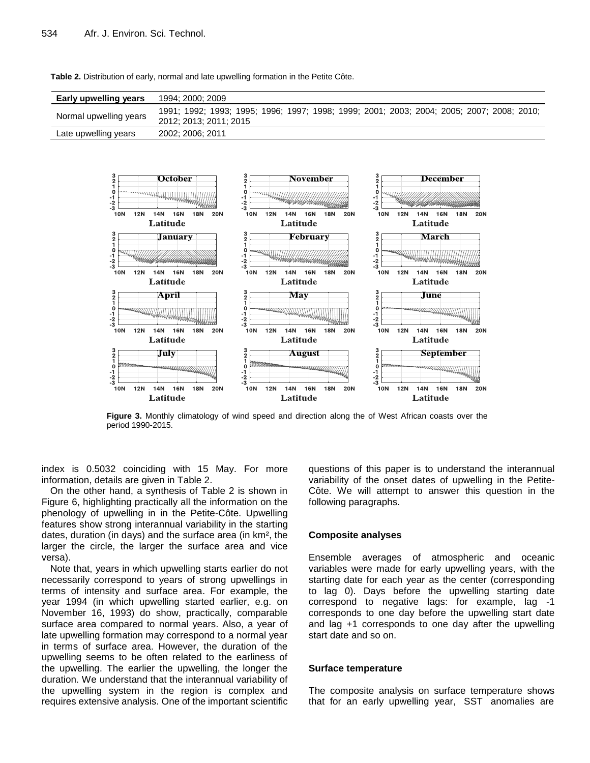| Early upwelling years  | 1994; 2000; 2009                                                                                                    |
|------------------------|---------------------------------------------------------------------------------------------------------------------|
| Normal upwelling years | 1991; 1992; 1993; 1995; 1996; 1997; 1998; 1999; 2001; 2003; 2004; 2005; 2007; 2008; 2010;<br>2012: 2013: 2011: 2015 |
| Late upwelling years   | 2002; 2006; 2011                                                                                                    |

**Table 2.** Distribution of early, normal and late upwelling formation in the Petite Côte.



**Figure 3.** Monthly climatology of wind speed and direction along the of West African coasts over the period 1990-2015.

index is 0.5032 coinciding with 15 May. For more information, details are given in Table 2.

On the other hand, a synthesis of Table 2 is shown in Figure 6, highlighting practically all the information on the phenology of upwelling in in the Petite-Côte. Upwelling features show strong interannual variability in the starting dates, duration (in days) and the surface area (in km², the larger the circle, the larger the surface area and vice versa).

Note that, years in which upwelling starts earlier do not necessarily correspond to years of strong upwellings in terms of intensity and surface area. For example, the year 1994 (in which upwelling started earlier, e.g. on November 16, 1993) do show, practically, comparable surface area compared to normal years. Also, a year of late upwelling formation may correspond to a normal year in terms of surface area. However, the duration of the upwelling seems to be often related to the earliness of the upwelling. The earlier the upwelling, the longer the duration. We understand that the interannual variability of the upwelling system in the region is complex and requires extensive analysis. One of the important scientific questions of this paper is to understand the interannual variability of the onset dates of upwelling in the Petite-Côte. We will attempt to answer this question in the following paragraphs.

## **Composite analyses**

Ensemble averages of atmospheric and oceanic variables were made for early upwelling years, with the starting date for each year as the center (corresponding to lag 0). Days before the upwelling starting date correspond to negative lags: for example, lag -1 corresponds to one day before the upwelling start date and lag +1 corresponds to one day after the upwelling start date and so on.

#### **Surface temperature**

The composite analysis on surface temperature shows that for an early upwelling year, SST anomalies are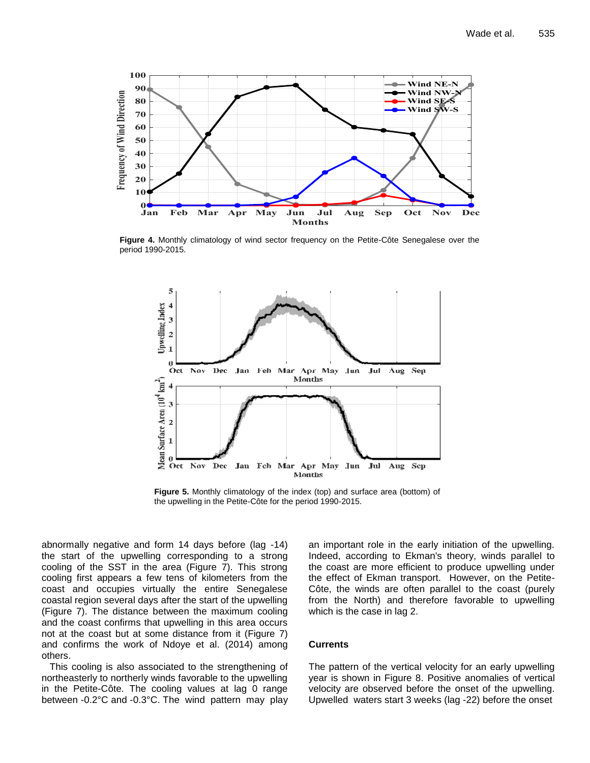

**Figure 4.** Monthly climatology of wind sector frequency on the Petite-Côte Senegalese over the period 1990-2015.



**Figure 5.** Monthly climatology of the index (top) and surface area (bottom) of the upwelling in the Petite-Côte for the period 1990-2015.

abnormally negative and form 14 days before (lag -14) the start of the upwelling corresponding to a strong cooling of the SST in the area (Figure 7). This strong cooling first appears a few tens of kilometers from the coast and occupies virtually the entire Senegalese coastal region several days after the start of the upwelling (Figure 7). The distance between the maximum cooling and the coast confirms that upwelling in this area occurs not at the coast but at some distance from it (Figure 7) and confirms the work of Ndoye et al. (2014) among others.

 This cooling is also associated to the strengthening of northeasterly to northerly winds favorable to the upwelling in the Petite-Côte. The cooling values at lag 0 range between -0.2°C and -0.3°C. The wind pattern may play

an important role in the early initiation of the upwelling. Indeed, according to Ekman's theory, winds parallel to the coast are more efficient to produce upwelling under the effect of Ekman transport. However, on the Petite-Côte, the winds are often parallel to the coast (purely from the North) and therefore favorable to upwelling which is the case in lag 2.

#### **Currents**

The pattern of the vertical velocity for an early upwelling year is shown in Figure 8. Positive anomalies of vertical velocity are observed before the onset of the upwelling. Upwelled waters start 3 weeks (lag -22) before the onset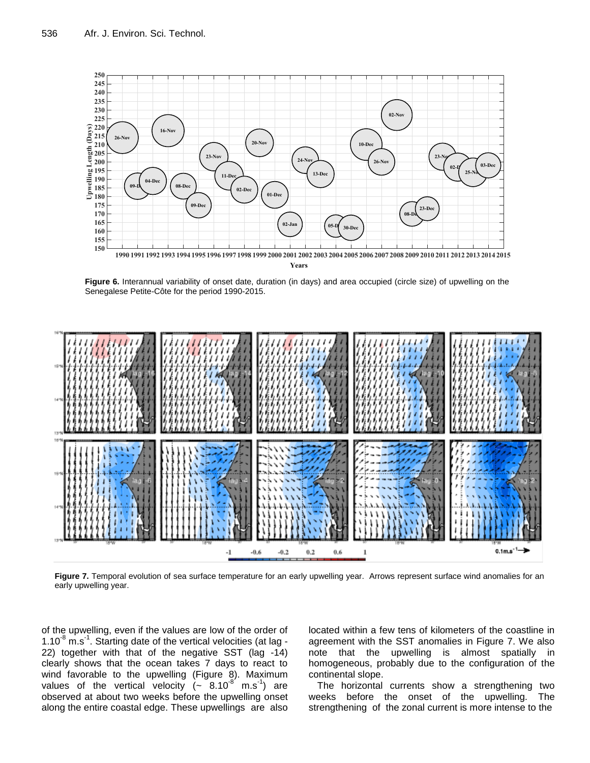

**Figure 6.** Interannual variability of onset date, duration (in days) and area occupied (circle size) of upwelling on the Senegalese Petite-Côte for the period 1990-2015.



**Figure 7.** Temporal evolution of sea surface temperature for an early upwelling year. Arrows represent surface wind anomalies for an early upwelling year.

of the upwelling, even if the values are low of the order of  $1.10^{-8}$  m.s<sup>-1</sup>. Starting date of the vertical velocities (at lag -22) together with that of the negative SST (lag -14) clearly shows that the ocean takes 7 days to react to wind favorable to the upwelling (Figure 8). Maximum values of the vertical velocity  $\left(\sim 8.10^{-8} \text{ m.s}^{-1}\right)$  are observed at about two weeks before the upwelling onset along the entire coastal edge. These upwellings are also

located within a few tens of kilometers of the coastline in agreement with the SST anomalies in Figure 7. We also note that the upwelling is almost spatially in homogeneous, probably due to the configuration of the continental slope.

The horizontal currents show a strengthening two weeks before the onset of the upwelling. The strengthening of the zonal current is more intense to the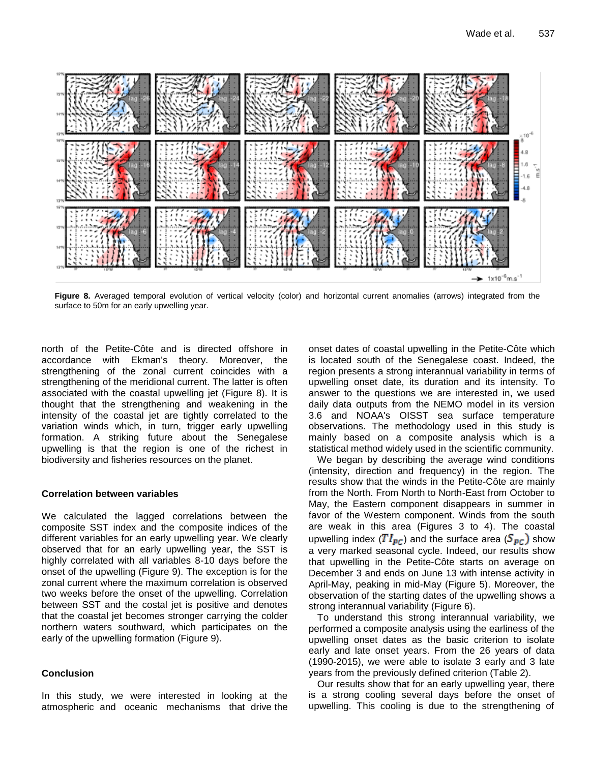

**Figure 8.** Averaged temporal evolution of vertical velocity (color) and horizontal current anomalies (arrows) integrated from the surface to 50m for an early upwelling year.

north of the Petite-Côte and is directed offshore in accordance with Ekman's theory. Moreover, the strengthening of the zonal current coincides with a strengthening of the meridional current. The latter is often associated with the coastal upwelling jet (Figure 8). It is thought that the strengthening and weakening in the intensity of the coastal jet are tightly correlated to the variation winds which, in turn, trigger early upwelling formation. A striking future about the Senegalese upwelling is that the region is one of the richest in biodiversity and fisheries resources on the planet.

#### **Correlation between variables**

We calculated the lagged correlations between the composite SST index and the composite indices of the different variables for an early upwelling year. We clearly observed that for an early upwelling year, the SST is highly correlated with all variables 8-10 days before the onset of the upwelling (Figure 9). The exception is for the zonal current where the maximum correlation is observed two weeks before the onset of the upwelling. Correlation between SST and the costal jet is positive and denotes that the coastal jet becomes stronger carrying the colder northern waters southward, which participates on the early of the upwelling formation (Figure 9).

#### **Conclusion**

In this study, we were interested in looking at the atmospheric and oceanic mechanisms that drive the onset dates of coastal upwelling in the Petite-Côte which is located south of the Senegalese coast. Indeed, the region presents a strong interannual variability in terms of upwelling onset date, its duration and its intensity. To answer to the questions we are interested in, we used daily data outputs from the NEMO model in its version 3.6 and NOAA's OISST sea surface temperature observations. The methodology used in this study is mainly based on a composite analysis which is a statistical method widely used in the scientific community.

We began by describing the average wind conditions (intensity, direction and frequency) in the region. The results show that the winds in the Petite-Côte are mainly from the North. From North to North-East from October to May, the Eastern component disappears in summer in favor of the Western component. Winds from the south are weak in this area (Figures 3 to 4). The coastal upwelling index ( $TI_{PC}$ ) and the surface area ( $S_{PC}$ ) show a very marked seasonal cycle. Indeed, our results show that upwelling in the Petite-Côte starts on average on December 3 and ends on June 13 with intense activity in April-May, peaking in mid-May (Figure 5). Moreover, the observation of the starting dates of the upwelling shows a strong interannual variability (Figure 6).

To understand this strong interannual variability, we performed a composite analysis using the earliness of the upwelling onset dates as the basic criterion to isolate early and late onset years. From the 26 years of data (1990-2015), we were able to isolate 3 early and 3 late years from the previously defined criterion (Table 2).

Our results show that for an early upwelling year, there is a strong cooling several days before the onset of upwelling. This cooling is due to the strengthening of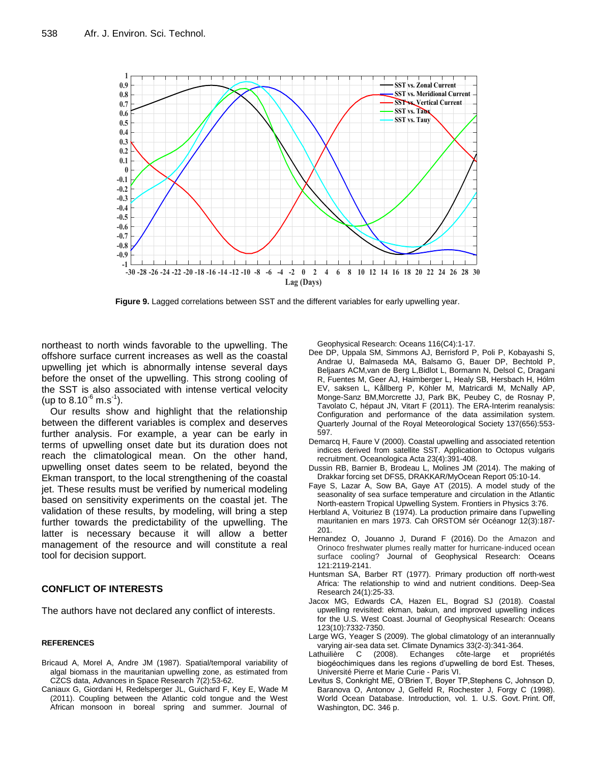

**Figure 9.** Lagged correlations between SST and the different variables for early upwelling year.

northeast to north winds favorable to the upwelling. The offshore surface current increases as well as the coastal upwelling jet which is abnormally intense several days before the onset of the upwelling. This strong cooling of the SST is also associated with intense vertical velocity (up to  $8.10^{-6}$  m.s<sup>-1</sup>).

Our results show and highlight that the relationship between the different variables is complex and deserves further analysis. For example, a year can be early in terms of upwelling onset date but its duration does not reach the climatological mean. On the other hand, upwelling onset dates seem to be related, beyond the Ekman transport, to the local strengthening of the coastal jet. These results must be verified by numerical modeling based on sensitivity experiments on the coastal jet. The validation of these results, by modeling, will bring a step further towards the predictability of the upwelling. The latter is necessary because it will allow a better management of the resource and will constitute a real tool for decision support.

## **CONFLICT OF INTERESTS**

The authors have not declared any conflict of interests.

#### **REFERENCES**

- Bricaud A, Morel A, Andre JM (1987). Spatial/temporal variability of algal biomass in the mauritanian upwelling zone, as estimated from CZCS data, Advances in Space Research 7(2):53-62.
- Caniaux G, Giordani H, Redelsperger JL, Guichard F, Key E, Wade M (2011). Coupling between the Atlantic cold tongue and the West African monsoon in boreal spring and summer. Journal of

Geophysical Research: Oceans 116(C4):1-17.

- Dee DP, Uppala SM, Simmons AJ, Berrisford P, Poli P, Kobayashi S, Andrae U, Balmaseda MA, Balsamo G, Bauer DP, Bechtold P, Beljaars ACM,van de Berg L,Bidlot L, Bormann N, Delsol C, Dragani R, Fuentes M, Geer AJ, Haimberger L, Healy SB, Hersbach H, Hólm EV, saksen L, Kållberg P, Köhler M, Matricardi M, McNally AP, Monge-Sanz BM,Morcrette JJ, Park BK, Peubey C, de Rosnay P, Tavolato C, hépaut JN, Vitart F (2011). The ERA-Interim reanalysis: Configuration and performance of the data assimilation system. Quarterly Journal of the Royal Meteorological Society 137(656):553- 597.
- Demarcq H, Faure V (2000). Coastal upwelling and associated retention indices derived from satellite SST. Application to Octopus vulgaris recruitment. Oceanologica Acta 23(4):391-408.
- Dussin RB, Barnier B, Brodeau L, Molines JM (2014). The making of Drakkar forcing set DFS5, DRAKKAR/MyOcean Report 05:10-14.
- Faye S, Lazar A, Sow BA, Gaye AT (2015). A model study of the seasonality of sea surface temperature and circulation in the Atlantic North-eastern Tropical Upwelling System. Frontiers in Physics 3:76.
- Herbland A, Voituriez B (1974). La production primaire dans l'upwelling mauritanien en mars 1973. Cah ORSTOM sér Océanogr 12(3):187- 201.
- Hernandez O, Jouanno J, Durand F (2016). Do the Amazon and Orinoco freshwater plumes really matter for hurricane‐induced ocean surface cooling? Journal of Geophysical Research: Oceans 121:2119-2141.
- Huntsman SA, Barber RT (1977). Primary production off north-west Africa: The relationship to wind and nutrient conditions. Deep-Sea Research 24(1):25-33.
- Jacox MG, Edwards CA, Hazen EL, Bograd SJ (2018). Coastal upwelling revisited: ekman, bakun, and improved upwelling indices for the U.S. West Coast. Journal of Geophysical Research: Oceans 123(10):7332-7350.
- Large WG, Yeager S (2009). The global climatology of an interannually varying air-sea data set. Climate Dynamics 33(2-3):341-364.
- côte-large et propriétés biogéochimiques dans les regions d'upwelling de bord Est. Theses, Université Pierre et Marie Curie - Paris VI.
- Levitus S, Conkright ME, O'Brien T, Boyer TP,Stephens C, Johnson D, Baranova O, Antonov J, Gelfeld R, Rochester J, Forgy C (1998). World Ocean Database. Introduction, vol. 1. U.S. Govt. Print. Off, Washington, DC. 346 p.